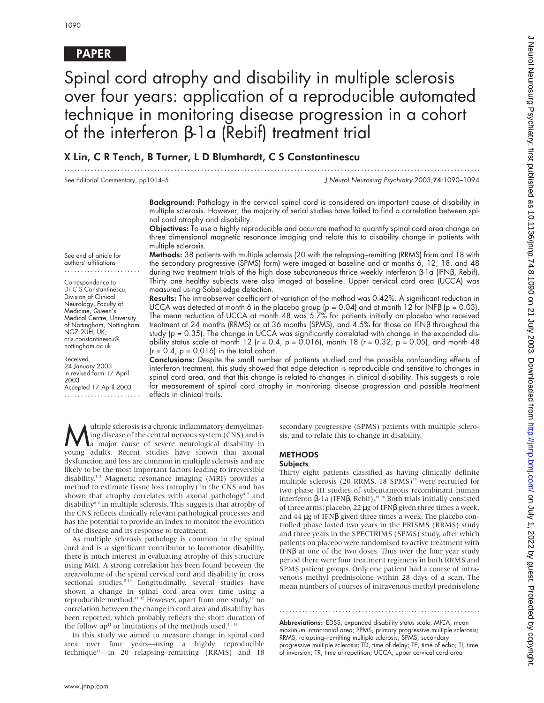## PAPER

# Spinal cord atrophy and disability in multiple sclerosis over four years: application of a reproducible automated technique in monitoring disease progression in a cohort of the interferon β-1a (Rebif) treatment trial

.............................................................................................................................

### X Lin, C R Tench, B Turner, L D Blumhardt, C S Constantinescu

See Editorial Commentary, pp1014–5 J Neurol Neurosurg Psychiatry 2003;74:1090–1094

Background: Pathology in the cervical spinal cord is considered an important cause of disability in multiple sclerosis. However, the majority of serial studies have failed to find a correlation between spinal cord atrophy and disability.

Objectives: To use a highly reproducible and accurate method to quantify spinal cord area change on three dimensional magnetic resonance imaging and relate this to disability change in patients with multiple sclerosis.

Methods: 38 patients with multiple sclerosis (20 with the relapsing–remitting (RRMS) form and 18 with the secondary progressive (SPMS) form) were imaged at baseline and at months 6, 12, 18, and 48 during two treatment trials of the high dose subcutaneous thrice weekly interferon β-1a (IFNβ, Rebif). Thirty one healthy subjects were also imaged at baseline. Upper cervical cord area (UCCA) was measured using Sobel edge detection.

Results: The intraobserver coefficient of variation of the method was 0.42%. A significant reduction in UCCA was detected at month 6 in the placebo group (p = 0.04) and at month 12 for INFB (p = 0.03). The mean reduction of UCCA at month 48 was 5.7% for patients initially on placebo who received treatment at 24 months (RRMS) or at 36 months (SPMS), and 4.5% for those on IFNβ throughout the study (p = 0.35). The change in UCCA was significantly correlated with change in the expanded disability status scale at month 12 ( $r = 0.4$ ,  $p = 0.016$ ), month 18 ( $r = 0.32$ ,  $p = 0.05$ ), and month 48  $(r = 0.4, p = 0.016)$  in the total cohort.

Conclusions: Despite the small number of patients studied and the possible confounding effects of interferon treatment, this study showed that edge detection is reproducible and sensitive to changes in spinal cord area, and that this change is related to changes in clinical disability. This suggests a role for measurement of spinal cord atrophy in monitoring disease progression and possible treatment effects in clinical trails.

**Multiple sclerosis is a chronic inflammatory demyelinat-**<br> **a** major cause of severe neurological disability in<br> **a** major cause of severe neurological disability in<br> **A** a symparability Recent studies have shown that axo ing disease of the central nervous system (CNS) and is young adults. Recent studies have shown that axonal dysfunction and loss are common in multiple sclerosis and are likely to be the most important factors leading to irreversible disability.1–3 Magnetic resonance imaging (MRI) provides a method to estimate tissue loss (atrophy) in the CNS and has shown that atrophy correlates with axonal pathology<sup>45</sup> and disability<br>6-8 in multiple sclerosis. This suggests that atrophy of the CNS reflects clinically relevant pathological processes and has the potential to provide an index to monitor the evolution of the disease and its response to treatment.

As multiple sclerosis pathology is common in the spinal cord and is a significant contributor to locomotor disability, there is much interest in evaluating atrophy of this structure using MRI. A strong correlation has been found between the area/volume of the spinal cervical cord and disability in cross sectional studies.<sup>8-10</sup> Longitudinally, several studies have shown a change in spinal cord area over time using a reproducible method.<sup>11</sup> <sup>12</sup> However, apart from one study,<sup>13</sup> no correlation between the change in cord area and disability has been reported, which probably reflects the short duration of the follow up<sup>11</sup> or limitations of the methods used.<sup>14–1</sup>

In this study we aimed to measure change in spinal cord area over four years—using a highly reproducible technique<sup>17</sup>—in 20 relapsing–remitting (RRMS) and 18

secondary progressive (SPMS) patients with multiple sclerosis, and to relate this to change in disability.

# **METHODS**

**Subjects** 

Thirty eight patients classified as having clinically definite multiple sclerosis (20 RRMS, 18 SPMS)<sup>18</sup> were recruited for two phase III studies of subcutaneous recombinant human interferon β-1a (IFNβ, Rebif).<sup>19 20</sup> Both trials initially consisted of three arms: placebo, 22 µg of IFNβ given three times a week, and 44 µg of IFNβ given three times a week. The placebo controlled phase lasted two years in the PRISMS (RRMS) study and three years in the SPECTRIMS (SPMS) study, after which patients on placebo were randomised to active treatment with IFNβ at one of the two doses. Thus over the four year study period there were four treatment regimens in both RRMS and SPMS patient groups. Only one patient had a course of intravenous methyl prednisolone within 28 days of a scan. The mean numbers of courses of intravenous methyl prednisolone

Abbreviations: EDSS, expanded disability status scale; MICA, mean maximum intracranial area; PPMS, primary progressive multiple sclerosis; RRMS, relapsing–remitting multiple sclerosis; SPMS, secondary progressive multiple sclerosis; TD, time of delay; TE, time of echo; TI, time of inversion; TR, time of repetition; UCCA, upper cervical cord area

.............................................................

See end of article for authors' affiliations

Correspondence to: Dr C S Constantinescu, Division of Clinical Neurology, Faculty of Medicine, Queen's Medical Centre, University of Nottingham, Nottingham NG7 2UH, UK; cris.constantinescu@ nottingham.ac.uk

Received 24 January 2003 In revised form 17 April 2003 Accepted 17 April 2003

.......................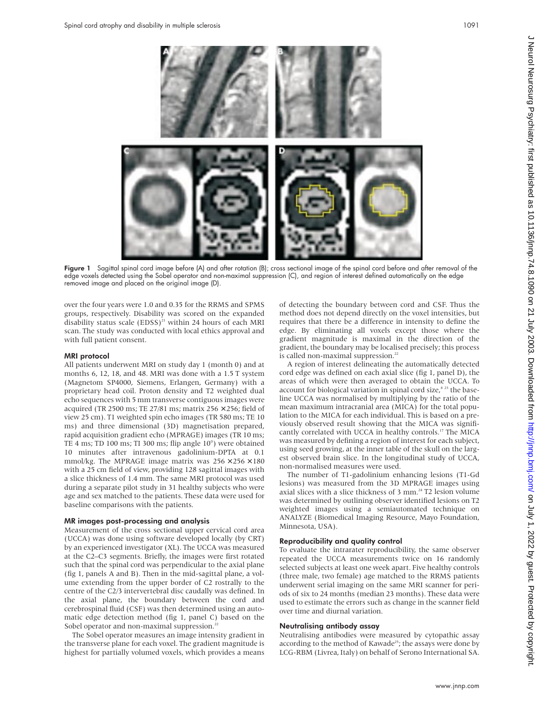

Figure 1 Sagittal spinal cord image before (A) and after rotation (B); cross sectional image of the spinal cord before and after removal of the edge voxels detected using the Sobel operator and non-maximal suppression (C), and region of interest defined automatically on the edge removed image and placed on the original image (D).

over the four years were 1.0 and 0.35 for the RRMS and SPMS groups, respectively. Disability was scored on the expanded disability status scale  $(EDSS)^{21}$  within 24 hours of each MRI scan. The study was conducted with local ethics approval and with full patient consent.

#### MRI protocol

All patients underwent MRI on study day 1 (month 0) and at months 6, 12, 18, and 48. MRI was done with a 1.5 T system (Magnetom SP4000, Siemens, Erlangen, Germany) with a proprietary head coil. Proton density and T2 weighted dual echo sequences with 5 mm transverse contiguous images were acquired (TR 2500 ms; TE 27/81 ms; matrix 256  $\times$  256; field of view 25 cm). T1 weighted spin echo images (TR 580 ms; TE 10 ms) and three dimensional (3D) magnetisation prepared, rapid acquisition gradient echo (MPRAGE) images (TR 10 ms; TE 4 ms; TD 100 ms; TI 300 ms; flip angle 10°) were obtained 10 minutes after intravenous gadolinium-DPTA at 0.1 mmol/kg. The MPRAGE image matrix was  $256 \times 256 \times 180$ with a 25 cm field of view, providing 128 sagittal images with a slice thickness of 1.4 mm. The same MRI protocol was used during a separate pilot study in 31 healthy subjects who were age and sex matched to the patients. These data were used for baseline comparisons with the patients.

#### MR images post-processing and analysis

Measurement of the cross sectional upper cervical cord area (UCCA) was done using software developed locally (by CRT) by an experienced investigator (XL). The UCCA was measured at the C2–C3 segments. Briefly, the images were first rotated such that the spinal cord was perpendicular to the axial plane (fig 1, panels A and B). Then in the mid-sagittal plane, a volume extending from the upper border of C2 rostrally to the centre of the C2/3 intervertebral disc caudally was defined. In the axial plane, the boundary between the cord and cerebrospinal fluid (CSF) was then determined using an automatic edge detection method (fig 1, panel C) based on the Sobel operator and non-maximal suppression.<sup>22</sup>

The Sobel operator measures an image intensity gradient in the transverse plane for each voxel. The gradient magnitude is highest for partially volumed voxels, which provides a means

of detecting the boundary between cord and CSF. Thus the method does not depend directly on the voxel intensities, but requires that there be a difference in intensity to define the edge. By eliminating all voxels except those where the gradient magnitude is maximal in the direction of the gradient, the boundary may be localised precisely; this process is called non-maximal suppression.<sup>22</sup>

A region of interest delineating the automatically detected cord edge was defined on each axial slice (fig 1, panel D), the areas of which were then averaged to obtain the UCCA. To account for biological variation in spinal cord size, $8^{23}$  the baseline UCCA was normalised by multiplying by the ratio of the mean maximum intracranial area (MICA) for the total population to the MICA for each individual. This is based on a previously observed result showing that the MICA was significantly correlated with UCCA in healthy controls.17 The MICA was measured by defining a region of interest for each subject, using seed growing, at the inner table of the skull on the largest observed brain slice. In the longitudinal study of UCCA, non-normalised measures were used.

The number of T1-gadolinium enhancing lesions (T1-Gd lesions) was measured from the 3D MPRAGE images using axial slices with a slice thickness of 3 mm.<sup>24</sup> T2 lesion volume was determined by outlining observer identified lesions on T2 weighted images using a semiautomated technique on ANALYZE (Biomedical Imaging Resource, Mayo Foundation, Minnesota, USA).

#### Reproducibility and quality control

To evaluate the intrarater reproducibility, the same observer repeated the UCCA measurements twice on 16 randomly selected subjects at least one week apart. Five healthy controls (three male, two female) age matched to the RRMS patients underwent serial imaging on the same MRI scanner for periods of six to 24 months (median 23 months). These data were used to estimate the errors such as change in the scanner field over time and diurnal variation.

#### Neutralising antibody assay

Neutralising antibodies were measured by cytopathic assay according to the method of Kawade<sup>25</sup>; the assays were done by LCG-RBM (Livrea, Italy) on behalf of Serono International SA.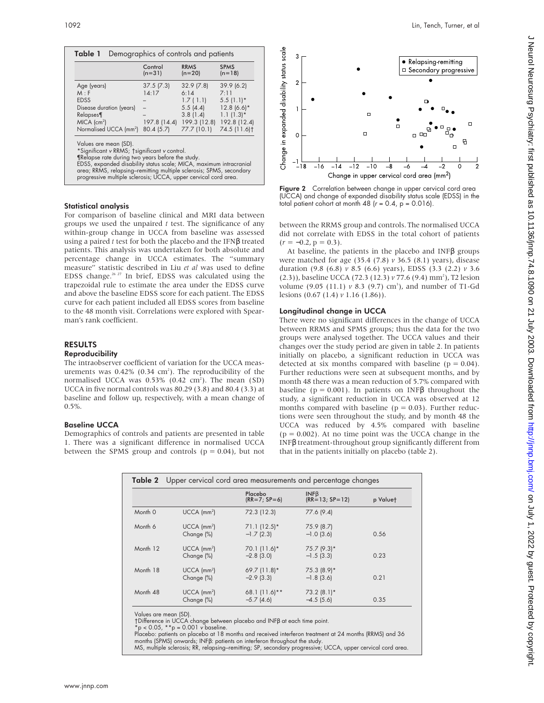|                                                                                                                                                                                                                                                                                                                                           | Control<br>$(n=31)$                              | <b>RRMS</b><br>$(n=20)$                                                              | <b>SPMS</b><br>$(n=18)$                                                                                       |
|-------------------------------------------------------------------------------------------------------------------------------------------------------------------------------------------------------------------------------------------------------------------------------------------------------------------------------------------|--------------------------------------------------|--------------------------------------------------------------------------------------|---------------------------------------------------------------------------------------------------------------|
| Age (years)<br>M : F<br><b>EDSS</b><br>Disease duration (years)<br>Relapses¶<br>$MICA$ (cm <sup>2</sup> )<br>Normalised UCCA (mm <sup>2</sup> )                                                                                                                                                                                           | 37.5(7.3)<br>14:17<br>197.8 (14.4)<br>80.4 (5.7) | 32.9(7.8)<br>6:14<br>1.7(1.1)<br>5.5(4.4)<br>3.8(1.4)<br>199.3 (12.8)<br>77.7 (10.1) | 39.9(6.2)<br>7:11<br>$5.5(1.1)$ *<br>$12.8(6.6)$ *<br>$1.1(1.3)*$<br>192.8 (12.4)<br>74.5 (11.6) <sup>†</sup> |
| Values are mean (SD).<br>*Significant v RRMS; †significant v control.<br>Trelapse rate during two years before the study.<br>EDSS, expanded disability status scale; MICA, maximum intracranial<br>area; RRMS, relapsing-remitting multiple sclerosis; SPMS, secondary<br>progressive multiple sclerosis; UCCA, upper cervical cord area. |                                                  |                                                                                      |                                                                                                               |

#### Statistical analysis

For comparison of baseline clinical and MRI data between groups we used the unpaired *t* test. The significance of any within-group change in UCCA from baseline was assessed using a paired *t* test for both the placebo and the IFNβ treated patients. This analysis was undertaken for both absolute and percentage change in UCCA estimates. The "summary measure" statistic described in Liu *et al* was used to define EDSS change.26 27 In brief, EDSS was calculated using the trapezoidal rule to estimate the area under the EDSS curve and above the baseline EDSS score for each patient. The EDSS curve for each patient included all EDSS scores from baseline to the 48 month visit. Correlations were explored with Spearman's rank coefficient.

#### RESULTS

#### Reproducibility

The intraobserver coefficient of variation for the UCCA measurements was  $0.42\%$  (0.34 cm<sup>2</sup>). The reproducibility of the normalised UCCA was  $0.53\%$  (0.42 cm<sup>2</sup>). The mean (SD) UCCA in five normal controls was 80.29 (3.8) and 80.4 (3.3) at baseline and follow up, respectively, with a mean change of 0.5%.

#### Baseline UCCA

Demographics of controls and patients are presented in table 1. There was a significant difference in normalised UCCA between the SPMS group and controls ( $p = 0.04$ ), but not



Figure 2 Correlation between change in upper cervical cord area (UCCA) and change of expanded disability status scale (EDSS) in the total patient cohort at month 48 ( $r = 0.4$ ,  $p = 0.016$ ).

Change in upper cervical cord area (mm<sup>2</sup>)

between the RRMS group and controls. The normalised UCCA did not correlate with EDSS in the total cohort of patients  $(r = -0.2, p = 0.3).$ 

At baseline, the patients in the placebo and INFβ groups were matched for age (35.4 (7.8) *v* 36.5 (8.1) years), disease duration (9.8 (6.8) *v* 8.5 (6.6) years), EDSS (3.3 (2.2) *v* 3.6 (2.3)), baseline UCCA (72.3 (12.3) *v* 77.6 (9.4) mm<sup>2</sup>), T2 lesion volume  $(9.05 \text{ (}11.1) \text{ } v \text{ } 8.3 \text{ (}9.7) \text{ cm}^3)$ , and number of T1-Gd lesions (0.67 (1.4) *v* 1.16 (1.86)).

#### Longitudinal change in UCCA

There were no significant differences in the change of UCCA between RRMS and SPMS groups; thus the data for the two groups were analysed together. The UCCA values and their changes over the study period are given in table 2. In patients initially on placebo, a significant reduction in UCCA was detected at six months compared with baseline ( $p = 0.04$ ). Further reductions were seen at subsequent months, and by month 48 there was a mean reduction of 5.7% compared with baseline ( $p = 0.001$ ). In patients on INF $\beta$  throughout the study, a significant reduction in UCCA was observed at 12 months compared with baseline ( $p = 0.03$ ). Further reductions were seen throughout the study, and by month 48 the UCCA was reduced by 4.5% compared with baseline  $(p = 0.002)$ . At no time point was the UCCA change in the INFβ treatment-throughout group significantly different from that in the patients initially on placebo (table 2).

| <b>Table 2</b> Upper cervical cord area measurements and percentage changes |                                         |                                 |                               |          |  |  |
|-----------------------------------------------------------------------------|-----------------------------------------|---------------------------------|-------------------------------|----------|--|--|
|                                                                             |                                         | Placebo<br>$(RR = 7; SP = 6)$   | INFB<br>$(RR=13; SP=12)$      | p Valuet |  |  |
| Month 0                                                                     | $UCCA$ (mm <sup>2</sup> )               | 72.3 (12.3)                     | 77.6 (9.4)                    |          |  |  |
| Month 6                                                                     | $UCCA$ (mm <sup>2</sup> )<br>Change (%) | $71.1(12.5)*$<br>$-1.7(2.3)$    | 75.9 (8.7)<br>$-1.0$ (3.6)    | 0.56     |  |  |
| Month 12                                                                    | $UCCA$ (mm <sup>2</sup> )<br>Change (%) | $70.1(11.6)*$<br>$-2.8$ (3.0)   | $75.7(9.3)$ *<br>$-1.5(3.3)$  | 0.23     |  |  |
| Month 18                                                                    | $UCCA$ (mm <sup>2</sup> )<br>Change (%) | $69.7$ (11.8)*<br>$-2.9$ (3.3)  | 75.3 (8.9)*<br>$-1.8$ (3.6)   | 0.21     |  |  |
| Month 48                                                                    | $UCCA$ (mm <sup>2</sup> )<br>Change (%) | 68.1 $(11.6)$ **<br>$-5.7(4.6)$ | $73.2 (8.1)$ *<br>$-4.5(5.6)$ | 0.35     |  |  |

Values are mean (SD).

†Difference in UCCA change between placebo and INFβ at each time point.

 $p < 0.05$ ,  $*$  $p = 0.001$  v baseline.

Placebo: patients on placebo at 18 months and received interferon treatment at 24 months (RRMS) and 36 months (SPMS) onwards; INFβ: patients on interferon throughout the study.

MS, multiple sclerosis; RR, relapsing–remitting; SP, secondary progressive; UCCA, upper cervical cord area.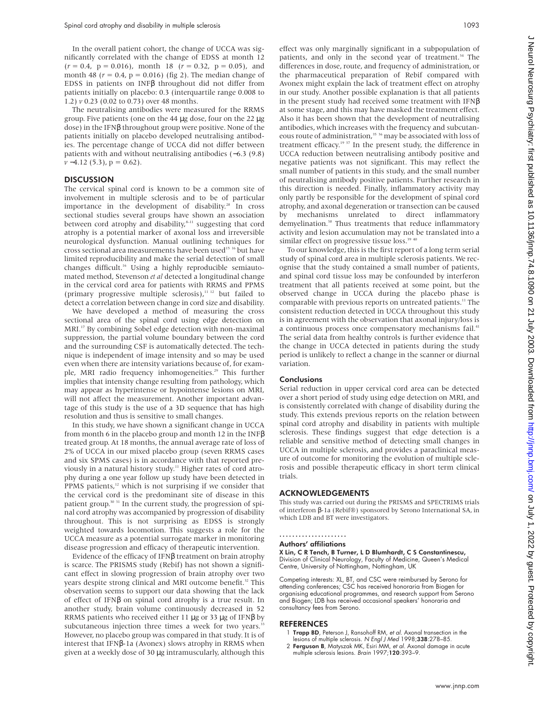In the overall patient cohort, the change of UCCA was significantly correlated with the change of EDSS at month 12  $(r=0.4,~{\rm p}=0.016),~$  month 18  $~(r=0.32,~{\rm p}=0.05),~$  and month 48 ( $r = 0.4$ ,  $p = 0.016$ ) (fig 2). The median change of EDSS in patients on INFβ throughout did not differ from patients initially on placebo: 0.3 (interquartile range 0.008 to 1.2) *v* 0.23 (0.02 to 0.73) over 48 months.

The neutralising antibodies were measured for the RRMS group. Five patients (one on the 44 µg dose, four on the 22 µg dose) in the IFNβ throughout group were positive. None of the patients initially on placebo developed neutralising antibodies. The percentage change of UCCA did not differ between patients with and without neutralising antibodies (−6.3 (9.8)  $v - 4.12$  (5.3),  $p = 0.62$ ).

#### **DISCUSSION**

The cervical spinal cord is known to be a common site of involvement in multiple sclerosis and to be of particular importance in the development of disability.<sup>28</sup> In cross sectional studies several groups have shown an association between cord atrophy and disability, $s$ -11 suggesting that cord atrophy is a potential marker of axonal loss and irreversible neurological dysfunction. Manual outlining techniques for cross sectional area measurements have been used<sup>15 16</sup> but have limited reproducibility and make the serial detection of small changes difficult.<sup>16</sup> Using a highly reproducible semiautomated method, Stevenson *et al* detected a longitudinal change in the cervical cord area for patients with RRMS and PPMS (primary progressive multiple sclerosis), $11/12$  but failed to detect a correlation between change in cord size and disability.

We have developed a method of measuring the cross sectional area of the spinal cord using edge detection on MRI.<sup>17</sup> By combining Sobel edge detection with non-maximal suppression, the partial volume boundary between the cord and the surrounding CSF is automatically detected. The technique is independent of image intensity and so may be used even when there are intensity variations because of, for example, MRI radio frequency inhomogeneities.<sup>29</sup> This further implies that intensity change resulting from pathology, which may appear as hyperintense or hypointense lesions on MRI, will not affect the measurement. Another important advantage of this study is the use of a 3D sequence that has high resolution and thus is sensitive to small changes.

In this study, we have shown a significant change in UCCA from month 6 in the placebo group and month 12 in the INFβ treated group. At 18 months, the annual average rate of loss of 2% of UCCA in our mixed placebo group (seven RRMS cases and six SPMS cases) is in accordance with that reported previously in a natural history study.<sup>11</sup> Higher rates of cord atrophy during a one year follow up study have been detected in PPMS patients, $12$  which is not surprising if we consider that the cervical cord is the predominant site of disease in this patient group.<sup>30 31</sup> In the current study, the progression of spinal cord atrophy was accompanied by progression of disability throughout. This is not surprising as EDSS is strongly weighted towards locomotion. This suggests a role for the UCCA measure as a potential surrogate marker in monitoring disease progression and efficacy of therapeutic intervention.

Evidence of the efficacy of IFNβ treatment on brain atrophy is scarce. The PRISMS study (Rebif) has not shown a significant effect in slowing progression of brain atrophy over two years despite strong clinical and MRI outcome benefit.<sup>32</sup> This observation seems to support our data showing that the lack of effect of IFNβ on spinal cord atrophy is a true result. In another study, brain volume continuously decreased in 52 RRMS patients who received either 11 µg or 33 µg of IFNβ by subcutaneous injection three times a week for two years.<sup>33</sup> However, no placebo group was compared in that study. It is of interest that IFNβ-1a (Avonex) slows atrophy in RRMS when given at a weekly dose of 30 µg intramuscularly, although this

effect was only marginally significant in a subpopulation of patients, and only in the second year of treatment.<sup>34</sup> The differences in dose, route, and frequency of administration, or the pharmaceutical preparation of Rebif compared with Avonex might explain the lack of treatment effect on atrophy in our study. Another possible explanation is that all patients in the present study had received some treatment with IFNβ at some stage, and this may have masked the treatment effect. Also it has been shown that the development of neutralising antibodies, which increases with the frequency and subcutaneous route of administration,<sup>35</sup> 36 may be associated with loss of treatment efficacy.<sup>19 37</sup> In the present study, the difference in UCCA reduction between neutralising antibody positive and negative patients was not significant. This may reflect the small number of patients in this study, and the small number of neutralising antibody positive patients. Further research in this direction is needed. Finally, inflammatory activity may only partly be responsible for the development of spinal cord atrophy, and axonal degeneration or transection can be caused by mechanisms unrelated to direct inflammatory demyelination.<sup>38</sup> Thus treatments that reduce inflammatory activity and lesion accumulation may not be translated into a similar effect on progressive tissue loss.<sup>39 40</sup>

To our knowledge, this is the first report of a long term serial study of spinal cord area in multiple sclerosis patients. We recognise that the study contained a small number of patients, and spinal cord tissue loss may be confounded by interferon treatment that all patients received at some point, but the observed change in UCCA during the placebo phase is comparable with previous reports on untreated patients.<sup>11</sup> The consistent reduction detected in UCCA throughout this study is in agreement with the observation that axonal injury/loss is a continuous process once compensatory mechanisms fail.<sup>41</sup> The serial data from healthy controls is further evidence that the change in UCCA detected in patients during the study period is unlikely to reflect a change in the scanner or diurnal variation.

#### Conclusions

Serial reduction in upper cervical cord area can be detected over a short period of study using edge detection on MRI, and is consistently correlated with change of disability during the study. This extends previous reports on the relation between spinal cord atrophy and disability in patients with multiple sclerosis. These findings suggest that edge detection is a reliable and sensitive method of detecting small changes in UCCA in multiple sclerosis, and provides a paraclinical measure of outcome for monitoring the evolution of multiple sclerosis and possible therapeutic efficacy in short term clinical trials.

#### ACKNOWLEDGEMENTS

This study was carried out during the PRISMS and SPECTRIMS trials of interferon β-1a (Rebif®) sponsored by Serono International SA, in which LDB and BT were investigators.

#### .....................

#### Authors' affiliations

X Lin, C R Tench, B Turner, L D Blumhardt, C S Constantinescu, Division of Clinical Neurology, Faculty of Medicine, Queen's Medical Centre, University of Nottingham, Nottingham, UK

Competing interests: XL, BT, and CSC were reimbursed by Serono for attending conferences; CSC has received honoraria from Biogen for organising educational programmes, and research support from Serono and Biogen; LDB has received occasional speakers' honoraria and consultancy fees from Serono.

#### REFERENCES

- Trapp BD, Peterson J, Ransohoff RM, et al. Axonal transection in the lesions of multiple sclerosis. N Engl J Med 1998;338:278–85.
- 2 Ferguson B, Matyszak MK, Esiri MM, et al. Axonal damage in acute multiple sclerosis lesions. Brain 1997;120:393–9.